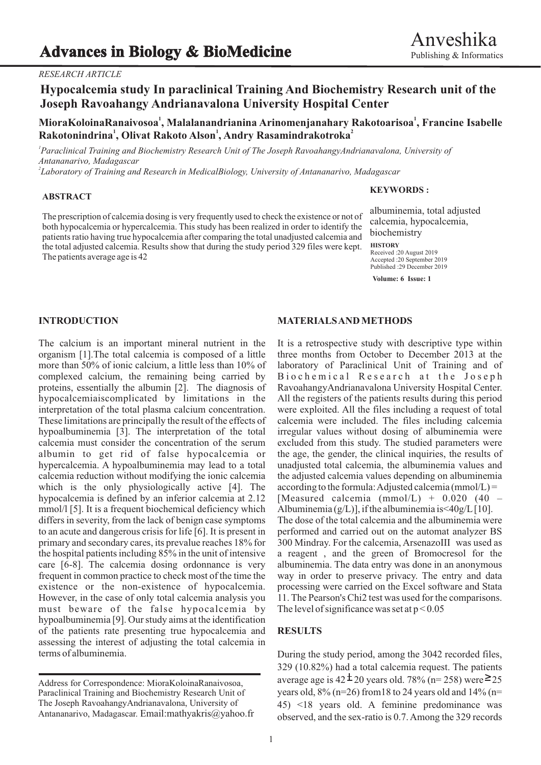## *RESEARCH ARTICLE*

# **Hypocalcemia study In paraclinical Training And Biochemistry Research unit of the Joseph Ravoahangy Andrianavalona University Hospital Center**

**<sup>1</sup> <sup>1</sup> MioraKoloinaRanaivosoa , Malalanandrianina Arinomenjanahary Rakotoarisoa , Francine Isabelle <sup>1</sup> <sup>1</sup> <sup>2</sup> Rakotonindrina , Olivat Rakoto Alson , Andry Rasamindrakotroka**

*1 Paraclinical Training and Biochemistry Research Unit of The Joseph RavoahangyAndrianavalona, University of Antananarivo, Madagascar*

*2 Laboratory of Training and Research in MedicalBiology, University of Antananarivo, Madagascar*

### **ABSTRACT**

The prescription of calcemia dosing is very frequently used to check the existence or not of both hypocalcemia or hypercalcemia. This study has been realized in order to identify the patients ratio having true hypocalcemia after comparing the total unadjusted calcemia and the total adjusted calcemia. Results show that during the study period 329 files were kept. The patients average age is 42

### **KEYWORDS :**

albuminemia, total adjusted calcemia, hypocalcemia, biochemistry

## **HISTORY**

Received :20 August 2019 Accepted :20 September 2019 Published :29 December 2019

**Volume: 6 Issue: 1**

The calcium is an important mineral nutrient in the It is a retrospective study with descriptive type within organism [1].The total calcemia is composed of a little three months from October to December 2013 at the more than 50% of ionic calcium, a little less than 10% of laboratory of Paraclinical Unit of Training and of complexed calcium, the remaining being carried by Biochemical Research at the Joseph complexed calcium, the remaining being carried by proteins, essentially the albumin [2]. The diagnosis of RavoahangyAndrianavalona University Hospital Center. hypocalcemiaiscomplicated by limitations in the All the registers of the patients results during this period interpretation of the total plasma calcium concentration. were exploited. All the files including a request of total These limitations are principally the result of the effects of calcemia were included. The files including calcemia hypoalbuminemia [3]. The interpretation of the total irregular values without dosing of albuminemia were calcemia must consider the concentration of the serum excluded from this study. The studied parameters were calcemia must consider the concentration of the serum albumin to get rid of false hypocalcemia or the age, the gender, the clinical inquiries, the results of hypercalcemia. A hypoalbuminemia may lead to a total unadjusted total calcemia, the albuminemia values and calcemia reduction without modifying the ionic calcemia the adjusted calcemia values depending on albuminemia which is the only physiologically active [4]. The according to the formula: Adjusted calcemia (mmol/L) = hypocalcemia is defined by an inferior calcemia at 2.12 [Measured calcemia (mmol/L) + 0.020 (40 – mmol/l [5]. It is a frequent biochemical deficiency which Albuminemia  $(g/L)$ ], if the albuminemia is <40g/L [10]. differs in severity, from the lack of benign case symptoms The dose of the total calcemia and the albuminemia were<br>to an acute and dangerous crisis for life [6]. It is present in performed and carried out on the automat an to an acute and dangerous crisis for life  $[6]$ . It is present in primary and secondary cares, its prevalue reaches 18% for 300 Mindray. For the calcemia, ArsenazoIII was used as the hospital patients including 85% in the unit of intensive a reagent , and the green of Bromocresol for the care [6-8]. The calcemia dosing ordonnance is very albuminemia. The data entry was done in an anonymous frequent in common practice to check most of the time the way in order to preserve privacy. The entry and data existence or the non-existence of hypocalcemia. processing were carried on the Excel software and Stata However, in the case of only total calcemia analysis you 11. The Pearson's Chi2 test was used for the comparisons. must beware of the false hypocalcemia by The level of significance was set at  $p < 0.05$ hypoalbuminemia [9]. Our study aims at the identification of the patients rate presenting true hypocalcemia and **RESULTS** assessing the interest of adjusting the total calcemia in terms of albuminemia. During the study period, among the 3042 recorded files,

### **INTRODUCTION MATERIALS AND METHODS**

329 (10.82%) had a total calcemia request. The patients average age is  $42 \pm 20$  years old. 78% (n= 258) were  $\geq 25$ years old,  $8\%$  (n=26) from 18 to 24 years old and 14% (n= 45) <18 years old. A feminine predominance was observed, and the sex-ratio is 0.7. Among the 329 records

Address for Correspondence: MioraKoloinaRanaivosoa, Paraclinical Training and Biochemistry Research Unit of The Joseph RavoahangyAndrianavalona, University of Antananarivo, Madagascar. Email:mathyakris@yahoo.fr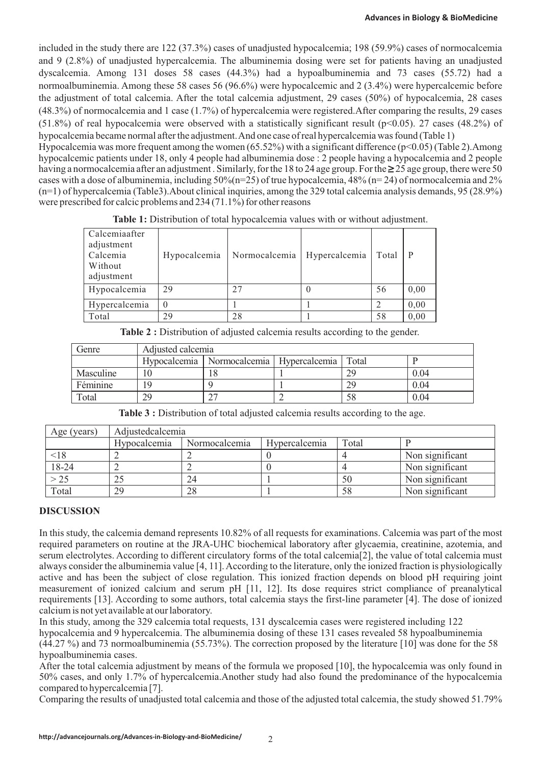included in the study there are 122 (37.3%) cases of unadjusted hypocalcemia; 198 (59.9%) cases of normocalcemia and 9 (2.8%) of unadjusted hypercalcemia. The albuminemia dosing were set for patients having an unadjusted dyscalcemia. Among 131 doses 58 cases (44.3%) had a hypoalbuminemia and 73 cases (55.72) had a normoalbuminemia. Among these 58 cases 56 (96.6%) were hypocalcemic and 2 (3.4%) were hypercalcemic before the adjustment of total calcemia. After the total calcemia adjustment, 29 cases (50%) of hypocalcemia, 28 cases (48.3%) of normocalcemia and 1 case (1.7%) of hypercalcemia were registered.After comparing the results, 29 cases (51.8%) of real hypocalcemia were observed with a statistically significant result ( $p<0.05$ ). 27 cases (48.2%) of hypocalcemia became normal after the adjustment. And one case of real hypercalcemia was found (Table 1) Hypocalcemia was more frequent among the women  $(65.52\%)$  with a significant difference  $(p<0.05)$  (Table 2). Among

hypocalcemic patients under 18, only 4 people had albuminemia dose : 2 people having a hypocalcemia and 2 people having a normocalcemia after an adjustment. Similarly, for the 18 to 24 age group. For the  $\geq$  25 age group, there were 50 cases with a dose of albuminemia, including  $50\%$  (n=25) of true hypocalcemia,  $\frac{48\%}{124}$  of normocalcemia and  $2\%$ (n=1) of hypercalcemia (Table3).About clinical inquiries, among the 329 total calcemia analysis demands, 95 (28.9%) were prescribed for calcic problems and 234 (71.1%) for other reasons

Table 1: Distribution of total hypocalcemia values with or without adjustment.

| Calcemiaafter<br>adjustment<br>Calcemia<br>Without<br>adjustment | Hypocalcemia | Normocalcemia | Hypercalcemia | Total   P |      |
|------------------------------------------------------------------|--------------|---------------|---------------|-----------|------|
| Hypocalcemia                                                     | 29           | 27            |               | 56        | 0,00 |
| Hypercalcemia                                                    |              |               |               |           | 0,00 |
| Total                                                            | 29           | 28            |               | 58        | 0,00 |

| Genre     | Adjusted calcemia |                                              |  |       |      |
|-----------|-------------------|----------------------------------------------|--|-------|------|
|           |                   | Hypocalcemia   Normocalcemia   Hypercalcemia |  | Total |      |
| Masculine |                   | $\Omega$                                     |  | 29    | 0.04 |
| Féminine  | 19                |                                              |  | 29    | 0.04 |
| Total     | 29                |                                              |  | 58    | 0.04 |

**Table 2 :** Distribution of adjusted calcemia results according to the gender.

| <b>Table 3 :</b> Distribution of total adjusted calcemia results according to the age. |  |
|----------------------------------------------------------------------------------------|--|
|                                                                                        |  |

| Age (years) | Adjustedcalcemia |               |               |       |                 |
|-------------|------------------|---------------|---------------|-------|-----------------|
|             | Hypocalcemia     | Normocalcemia | Hypercalcemia | Total |                 |
| < 18        |                  |               |               |       | Non significant |
| 18-24       |                  |               |               |       | Non significant |
| > 25        | 25               | 24            |               | 50    | Non significant |
| Total       | 29               | 28            |               | 58    | Non significant |

# **DISCUSSION**

In this study, the calcemia demand represents 10.82% of all requests for examinations. Calcemia was part of the most required parameters on routine at the JRA-UHC biochemical laboratory after glycaemia, creatinine, azotemia, and serum electrolytes. According to different circulatory forms of the total calcemia[2], the value of total calcemia must always consider the albuminemia value [4, 11]. According to the literature, only the ionized fraction is physiologically active and has been the subject of close regulation. This ionized fraction depends on blood pH requiring joint measurement of ionized calcium and serum pH [11, 12]. Its dose requires strict compliance of preanalytical requirements [13]. According to some authors, total calcemia stays the first-line parameter [4]. The dose of ionized calcium is not yet available at our laboratory.

In this study, among the 329 calcemia total requests, 131 dyscalcemia cases were registered including 122 hypocalcemia and 9 hypercalcemia. The albuminemia dosing of these 131 cases revealed 58 hypoalbuminemia (44.27 %) and 73 normoalbuminemia (55.73%). The correction proposed by the literature [10] was done for the 58 hypoalbuminemia cases.

After the total calcemia adjustment by means of the formula we proposed [10], the hypocalcemia was only found in 50% cases, and only 1.7% of hypercalcemia.Another study had also found the predominance of the hypocalcemia compared to hypercalcemia [7].

Comparing the results of unadjusted total calcemia and those of the adjusted total calcemia, the study showed 51.79%